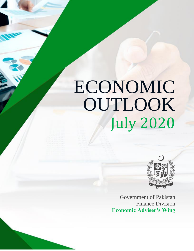# July 2020 ECONOMIC OUTLOOK



Government of Pakistan Finance Division **Economic Adviser's Wing**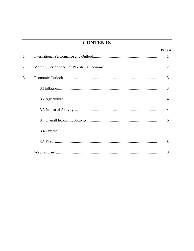## **CONTENTS**

|    | Page #         |
|----|----------------|
| 1. | 1              |
| 2. | $\overline{2}$ |
| 3. | 3              |
|    | 3              |
|    | $\overline{A}$ |
|    | $\overline{4}$ |
|    | 6              |
|    |                |
|    | 8              |
| 4. | 8              |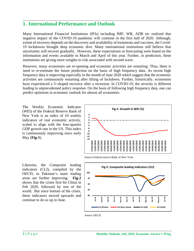#### **1. International Performance and Outlook**

Many International Financial Institutions (IFIs) including IMF, WB, ADB etc realized that negative impact of the COVID-19 pandemic will continue in the first half of 2020. Although, extent of recovery depends on the discovery and availability of treatments and vaccines, the Covid-19 lockdowns brought deep economic dive. Many international institutions still believe that uncertainty will recover gradually. However, these expectations or forecasting were based on the information and events available in March and April of this year. Further, in prediction, these institutions are giving more weights to risk associated with second wave.

However, many economies are re-opening and economic activities are restarting. Thus, there is need to re-estimate the future prediction on the basis of high frequency data. As recent high frequency data is improving especially in the month of June 2020 which suggest that the economic activities are continuously restarting after lifting of lockdown. Further, historically, economies have experienced a V-shaped recovery after a recession. In COVID-19, the severity is different leading to unprecedented policy response. On the basis of following high frequency data, one can predict optimism in economic outlook for almost all economies.

The Weekly Economic Indicator (WEI) of the Federal Reserve Bank of New York is an index of 10 weekly indicators of real economic activity, scaled to align with the four-quarter GDP growth rate in the US. This index is continuously improving since early May (**Fig-1**).



Source Federal reserve Bank of New York

Likewise, the Composite leading indicators (CLI), compiled by the OECD, in Pakistan's main trading areas are further improving. **Fig-2** shows that the crises first hit China in Feb 2020, followed by rest of the world. But since bottom of the crises, these indicators moved upwards and continue to do so up to June.



Source OECD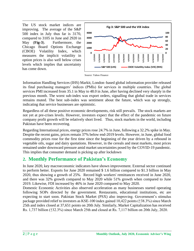The US stock market indices are improving. The average of the S&P 500 index in July thus far is 3170, compared to 3105 in June and 2920 in May (**Fig-3**). Furthermore, the Chicago Board Options Exchange (CBOE) Volatility Index, which measures the implicit volatility in option prices is also well below crises levels which implies that uncertainty has come down.





Information Handling Services (IHS) Markit, London–based global information provider released its final purchasing managers' indices (PMIs) for services in multiple countries. The global services PMI increased from 35.1 in May to 48.0 in June, after having declined very sharply in the previous month. The worst sub-index was export orders, signalling that global trade in services remains muted. The best sub-index was sentiment about the future, which was up strongly, indicating that service businesses are optimistic.

Regardless of all these positive economic developments, risk still prevails. The stock markets are not yet at pre-crises levels. However, investors expect that the effect of the pandemic on future company profit growth will be relatively short lived. Thus, stock markets in the world, including Pakistan have been recovering.

Regarding International prices, energy prices rose 24.7% in June, following a 32.2% spike in May. Despite the recent gains, prices remain 37% below end-2019 levels. However, in June, global food commodity prices rose for the first time since the beginning of the year driven by a rebound in vegetable oils, sugar and dairy quotations. However, in the cereals and meat markets, most prices remained under downward pressure amid market uncertainties posed by the COVID-19 pandemic. This implies that consumer demand is picking up after lockdown

## **2. Monthly Performance of Pakistan's Economy**

In June 2020, key macroeconomic indicators have shown improvement. External sector continued to perform better. Exports for June 2020 remained \$ 1.6 billion compared to \$1.3 billion in May 2020, thus showing a growth of 25%. Record high workers' remittances received in June 2020, and there was 32% growth compared to May 2020 while 51% growth when compared to June 2019. Likewise, FDI increased by 46% in June 2020 compared to May 2020.

Domestic Economic Activities also observed acceleration as many businesses started operating following SOPs directed by the government. Restaurants, educational institutions, etc are expecting to start soon. Pakistan Stock Market (PSX) also improving. Government's stimulus package provided relief to investors as KSE-100 index gained 10,422 points (↑38.3%) since March 25th and index closed at 37,651 points on 20th July. Similarly, Market Capitalization has received Rs. 1,737 billion (↑32.3%) since March 25th and closed at Rs. 7,117 billion on 20th July, 2020.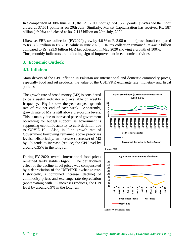In a comparison of 30th June 2020, the KSE-100 index gained 3,229 points ( $\uparrow$ 9.4%) and the index closed at 37,651 points as on 20th July. Similarly, Market Capitalization has received Rs. 587 billion (↑9.0%) and closed at Rs. 7,117 billion on 20th July, 2020.

Likewise, FBR tax collection (FY2020) grew by 4.0 % to Rs3.98 trillion (provisional) compared to Rs. 3.83 trillion in FY 2019 while in June 2020, FBR tax collection remained Rs 448.7 billion compared to Rs. 223.9 billion FBR tax collection in May 2020 showing a growth of 100%. Thus, monthly indicators are indicating sign of improvement in economic activities.

#### **3. Economic Outlook**

#### **3.1. Inflation**

Main drivers of the CPI inflation in Pakistan are international and domestic commodity prices, especially food and oil products, the value of the USD/PKR exchange rate, monetary and fiscal policies.

The growth rate of broad money (M2) is considered to be a useful indicator and available on weekly frequency. **Fig-4** shows the year-on year growth rate of M2 per end of each week. Apparently, growth rate of M2 is still above pre-corona levels. This is mainly due to increased pace of government borrowing for budget support, as government is supporting economic activity to curb deflation due to COVID-19. Also, in June growth rate of Government borrowing remained above pre-crises levels. Historically, an increase (decrease) of M2 by 1% tends to increase (reduce) the CPI level by  $around 0.35\% in the long run.$  Source: SBP

During FY 2020, overall international food prices remained fairly stable (**Fig-5**). The deflationary effect of the decline in oil prices was compensated by a depreciation of the USD/PKR exchange rate. Historically, a combined increase (decline) of commodity prices and exchange rate depreciation (appreciation) with 1% increases (reduces) the CPI level by around 0.9% in the long run.







Source World Bank, SBP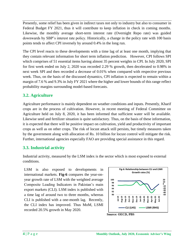Presently, some relief has been given in indirect taxes not only to industry but also to consumer in Federal Budget FY 2021, thus it will contribute to keep inflation in check in coming months. Likewise, the monthly average short-term interest rate (Overnight Repo rate) was guided downwards by SBP's interest rate policy. Historically, a change in the policy rate with 100 basis points tends to affect CPI inversely by around 0.4% in the long run.

The CPI level reacts to these developments with a time lag of at least one month, implying that they contain relevant information for short term inflation prediction. However, CPI follows SPI which comprises of 51 essential items having almost 35 percent weights in CPI. In July 2020, SPI for first week ended on July 2, 2020 was recorded 2.29 % growth, then decelerated to 0.98% in next week SPI and then recorded a decrease of 0.01% when compared with respective previous week. Thus, on the basis of the discussed dynamics, CPI inflation is expected to remain within a margin of 7.6 % and 9.3% in July FY 2021 where the higher and lower bounds of this range reflect probability margins surrounding model-based forecasts.

## **3.2. Agriculture**

Agriculture performance is mainly dependent on weather conditions and inputs. Presently, Kharif crops are in the process of cultivation. However, in recent meeting of Federal Committee on Agriculture held on July 8, 2020, it has been informed that sufficient water will be available. Likewise seed and fertilizer situation is quite satisfactory. Thus, on the basis of these information, it is expected that there will be positive impact on cultivation, yield and productivity of important crops as well as on other crops. The risk of locust attack still persists, but timely measures taken by the government along with allocation of Rs. 10 billion for locust control will mitigate the risk. Further, international agencies especially FAO are providing special assistance in this regard.

## **3.3. Industrial activity**

Industrial activity, measured by the LSM index is the sector which is most exposed to external conditions.

LSM is also exposed to developments in international markets. **Fig-6** compares the year-onyear growth rate of LSM with the weighted average Composite Leading Indicators in Pakistan's main export markets (CLI). LSM index is published with a time lag of around two to three months, whereas CLI is published with a one-month lag. Recently, the CLI index has improved. Thus MoM, LSMI recorded 20.5% growth in May 2020.

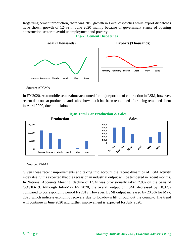Regarding cement production, there was 20% growth in Local dispatches while export dispatches have shown growth of 124% in June 2020 mainly because of government stance of opening construction sector to avoid unemployment and poverty.



**Fig-7: Cement Dispatches**

Source: APCMA

In FY 2020, Automobile sector alone accounted for major portion of contraction in LSM, however, recent data on car production and sales show that it has been rebounded after being remained silent in April 2020, due to lockdown.



**Fig-8: Total Car Production & Sales**

Source: PAMA

Given these recent improvements and taking into account the recent dynamics of LSM activity index itself, it is expected that the recession in industrial output will be tempered in recent months. In National Accounts Meeting, decline of LSM was provisionally taken 7.8% on the basis of COVID-19. Although July-May FY 2020, the overall output of LSMI decreased by 10.32% compared to corresponding period FY2019. However, LSMI output increased by 20.5% for May, 2020 which indicate economic recovery due to lockdown lift throughout the country. The trend will continue in June 2020 and further improvement is expected for July 2020.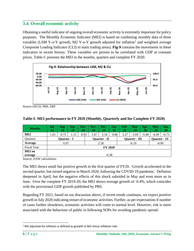#### **3.4. Overall economic activity**

Obtaining a useful indicator of ongoing overall economic activity is extremely important for policy purposes. The Monthly Economic Indicator (MEI) is based on combining monthly data of three variables (LSM Y-o-Y growth, M2 Y-o-Y growth adjusted for inflation<sup>1</sup> and weighted average Composite Leading Indicator (CLI) in main trading areas). **Fig-9** contains the movements in these indicators in recent history. These variables are proven to be correlated with GDP at constant prices. Table-I: presents the MEI in the months, quarters and complete FY 2020.



Source OECD, PBS, SBP

| <b>Months</b>      | Jul-<br>19     | Aug-<br>19 | Sep-<br>19 | Oct-<br>19 | $Now-$<br>19        | Dec-<br>19 | Jan-<br>20 | Feb-<br>20           | <b>Mar</b><br>$-20$ | Apr-<br>20 | <b>May</b><br>$-20$ | Jun-<br>20 |
|--------------------|----------------|------------|------------|------------|---------------------|------------|------------|----------------------|---------------------|------------|---------------------|------------|
| <b>MEI</b>         | 1.01           | 0.75       | 1.15       | 0.93       | 1.47                | 5.34       | 0.86       | 2.27                 | $-3.69$             | $-9.48$    | $-4.49$             | $-0.73$    |
| <b>Ouarters</b>    | Quarter - I    |            |            |            | <b>Ouarter</b> - II |            |            | <b>Ouarter - III</b> |                     |            | <b>Ouarter</b> - IV |            |
| Average            | 0.97           |            |            |            | 2.58                |            |            | $-0.19$              |                     |            | $-4.90$             |            |
| <b>Fiscal Year</b> | <b>FY 2020</b> |            |            |            |                     |            |            |                      |                     |            |                     |            |
| <b>MEI</b> on      |                |            |            |            |                     |            |            |                      |                     |            |                     |            |
| average            | $-0.38$        |            |            |            |                     |            |            |                      |                     |            |                     |            |

#### **Table-I: MEI performance in FY 2020 (Monthly, Quarterly and for Complete FY 2020)**

Source: EAW calculations

The MEI shows small but positive growth in the first quarter of FY20. Growth accelerated in the second quarter, but turned negative in March 2020, following the COVID-19 pandemic. Deflation deepened in April, but the negative effects of this shock subsided in May and even more so in June. Over the complete FY 2019-20, the MEI shows average growth of -0.4%, which coincides with the provisional GDP growth published by PBS.

Regarding FY 2021, based on our discussion above, if recent trends continues, we expect positive growth in July 2020 indicating restart of economic activities. Further, as per expectations if number of cases further slowdown, economic activities will come to normal level. However, risk is more associated with the behaviour of public in following SOPs for avoiding pandemic spread.

<sup>&</sup>lt;sup>1</sup> M2 adjusted for inflation is defined as growth in M2 minus inflation rate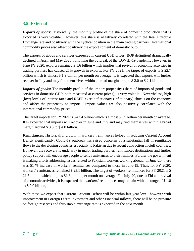#### **3.5. External**

*Exports of goods***:** Historically, the monthly profile of the share of domestic production that is exported is very volatile. However, this share is negatively correlated with the Real Effective Exchange rate and positively with the cyclical position in the main trading partners. International commodity prices also affect positively the export content of domestic output.

The exports of goods and services expressed in current USD prices (BOP definition) dramatically declined in April and May 2020, following the outbreak of the COVID-19 pandemic However, in June FY 2020, exports remained \$ 1.6 billion which implies that revival of economic activities in trading partners has caused 25% growth in exports. For FY 2021, the target of exports is \$ 22.7 billion which is almost \$ 1.9 billion per month on average. It is expected that exports will further recover in July and may find themselves within a broad margin around \$ 2.0 to \$ 2.1 billion.

*Imports of goods*: The monthly profile of the import propensity (share of imports of goods and services in domestic GDP, both measured at current prices), is very volatile. Nevertheless, high (low) levels of interest rates and REER exert deflationary (inflationary) shocks on the economy and affect the propensity to import. Import values are also positively correlated with the international commodity prices.

The target imports for FY 2021 is \$ 42.4 billion which is almost \$ 3.5 billion per month on average. It is expected that imports will recover in June and July and may find themselves within a broad margin around \$ 3.5 to \$ 4.0 billion.

**Remittances:** Historically, growth in workers' remittances helped in reducing Current Account Deficit significantly. Covid-19 outbreak has raised concerns of a substantial fall in remittance flows to the developing countries especially to Pakistan due to recent contraction in Gulf countries. However, the recovery is underway in major trading partner/ remittances destinations and further policy support will encourage people to send remittances to their families. Further the government is making efforts addressing issues related to Pakistani workers working abroad. In June-20, there was 51 % increase in workers' remittances compared to those in June-19. Thus, for FY 2020, workers' remittances remained \$ 23.1 billion. The target of workers' remittances for FY 2021 is \$ 21.5 billion which implies \$1.8 billion per month on average. For July-20, due to Eid and revival of economic activities, it is expected that workers' remittances may remain with the range of \$ 1.8 to \$ 2.0 billion,

With these we expect that Current Account Deficit will be within last year level, however with improvement in Foreign Direct Investment and other Financial inflows, there will be no pressure on foreign reserves and thus stable exchange rate is expected in the next month.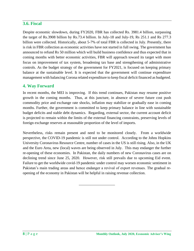#### **3.6. Fiscal**

Despite economic slowdown, during FY2020, FBR has collected Rs. 3981.4 billion, surpassing the target of Rs.3908 billion by Rs.73.4 billion. In July-18 and July-19, Rs 251.1 and Rs 277.3 billion were collected. Historically, about 5-7% of total FBR is collected in July. Presently, there is risk in FBR collection as economic activities have not started in full swing. The government has announced to refund Rs 50 million which will build business confidence and thus expected that in coming months with better economic activities, FBR will approach toward its target with more focus on improvement of tax system, broadening tax base and strengthening of administrative controls. As the budget strategy of the government for FY2021, is focused on keeping primary balance at the sustainable level. It is expected that the government will continue expenditure management with balancing Corona related expenditure to keep fiscal deficit financed as budgeted.

#### **4. Way Forward**

In recent months, the MEI is improving. If this trend continues, Pakistan may resume positive growth in the coming months. Thus, at this juncture, in absence of severe future cost push commodity price and exchange rate shocks, inflation may stabilize or gradually ease in coming months. Further, the government is committed to keep primary balance in line with sustainable budget deficits and stable debt dynamics. Regarding, external sector, the current account deficit is projected to remain within the limits of the external financing constraints, preserving levels of foreign exchange reserves at reasonable proportion of the level of imports.

Nevertheless, risks remain present and need to be monitored closely. From a worldwide perspective, the COVID-19 pandemic is still not under control. According to the Johns Hopkins University Coronavirus Resource Centre, number of cases in the US is still rising. Also, in the UK and the Euro Area, new (local) waves are being observed in July. This may endanger the further re-opening of these economies. In Pakistan, the daily numbers of new Coronavirus cases are on declining trend since June 25, 2020. However, risk still prevails due to upcoming Eid event. Failure to get the worldwide covid-19 pandemic under control may worsen economic sentiment in Pakistan's main trading areas and hence endanger a revival of export revenues. The gradual reopening of the economy in Pakistan will be helpful in raising revenue collection.

\_\_\_\_\_\_\_\_\_\_\_\_\_\_\_\_\_\_\_